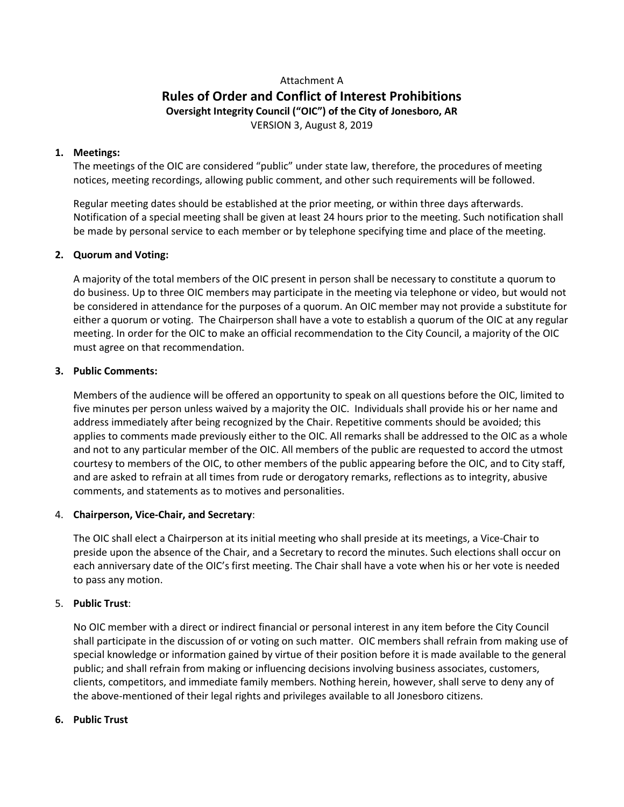# Attachment A **Rules of Order and Conflict of Interest Prohibitions Oversight Integrity Council ("OIC") of the City of Jonesboro, AR** VERSION 3, August 8, 2019

## **1. Meetings:**

The meetings of the OIC are considered "public" under state law, therefore, the procedures of meeting notices, meeting recordings, allowing public comment, and other such requirements will be followed.

Regular meeting dates should be established at the prior meeting, or within three days afterwards. Notification of a special meeting shall be given at least 24 hours prior to the meeting. Such notification shall be made by personal service to each member or by telephone specifying time and place of the meeting.

#### **2. Quorum and Voting:**

A majority of the total members of the OIC present in person shall be necessary to constitute a quorum to do business. Up to three OIC members may participate in the meeting via telephone or video, but would not be considered in attendance for the purposes of a quorum. An OIC member may not provide a substitute for either a quorum or voting. The Chairperson shall have a vote to establish a quorum of the OIC at any regular meeting. In order for the OIC to make an official recommendation to the City Council, a majority of the OIC must agree on that recommendation.

#### **3. Public Comments:**

Members of the audience will be offered an opportunity to speak on all questions before the OIC, limited to five minutes per person unless waived by a majority the OIC. Individuals shall provide his or her name and address immediately after being recognized by the Chair. Repetitive comments should be avoided; this applies to comments made previously either to the OIC. All remarks shall be addressed to the OIC as a whole and not to any particular member of the OIC. All members of the public are requested to accord the utmost courtesy to members of the OIC, to other members of the public appearing before the OIC, and to City staff, and are asked to refrain at all times from rude or derogatory remarks, reflections as to integrity, abusive comments, and statements as to motives and personalities.

#### 4. **Chairperson, Vice-Chair, and Secretary**:

The OIC shall elect a Chairperson at its initial meeting who shall preside at its meetings, a Vice-Chair to preside upon the absence of the Chair, and a Secretary to record the minutes. Such elections shall occur on each anniversary date of the OIC's first meeting. The Chair shall have a vote when his or her vote is needed to pass any motion.

# 5. **Public Trust**:

No OIC member with a direct or indirect financial or personal interest in any item before the City Council shall participate in the discussion of or voting on such matter. OIC members shall refrain from making use of special knowledge or information gained by virtue of their position before it is made available to the general public; and shall refrain from making or influencing decisions involving business associates, customers, clients, competitors, and immediate family members. Nothing herein, however, shall serve to deny any of the above-mentioned of their legal rights and privileges available to all Jonesboro citizens.

#### **6. Public Trust**